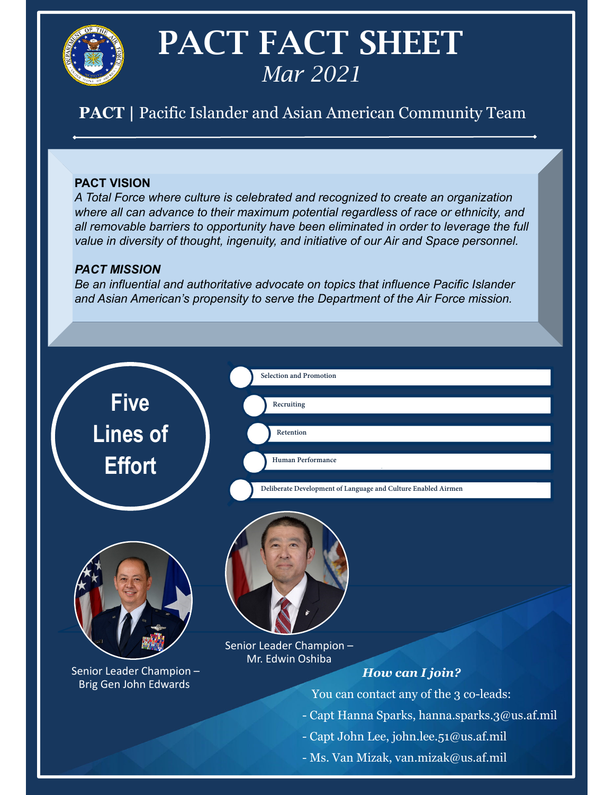

# PACT FACT SHEET *Mar 2021*

## **PACT |** Pacific Islander and Asian American Community Team

#### **PACT VISION**

*A Total Force where culture is celebrated and recognized to create an organization where all can advance to their maximum potential regardless of race or ethnicity, and all removable barriers to opportunity have been eliminated in order to leverage the full value in diversity of thought, ingenuity, and initiative of our Air and Space personnel.*

#### *PACT MISSION*

*Be an influential and authoritative advocate on topics that influence Pacific Islander and Asian American's propensity to serve the Department of the Air Force mission.*



- Ms. Van Mizak, van.mizak@us.af.mil